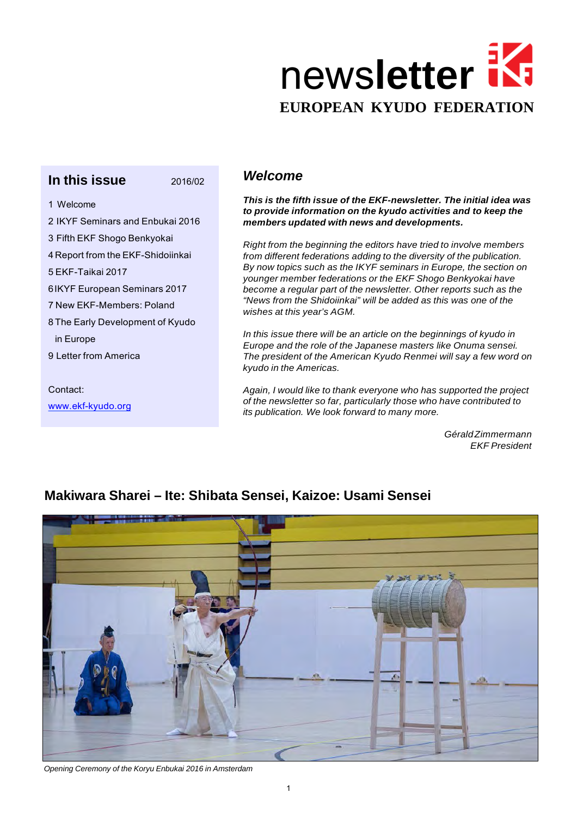

# **In this issue** 2016/02

1 Welcome

- 2 IKYF Seminars and Enbukai 2016
- 3 Fifth EKF Shogo Benkyokai
- 4 Report from the EKF-Shidoiinkai
- 5 EKF-Taikai 2017

6 IKYF European Seminars 2017

7 New EKF-Members: Poland

8 The Early Development of Kyudo

in Europe

9 Letter from America

Contact:

[www.ekf-kyudo.org](http://www.ekf-kyudo.org/)

### *Welcome*

*This is the fifth issue of the EKF-newsletter. The initial idea was to provide information on the kyudo activities and to keep the members updated with news and developments.*

*Right from the beginning the editors have tried to involve members from different federations adding to the diversity of the publication. By now topics such as the IKYF seminars in Europe, the section on younger member federations or the EKF Shogo Benkyokai have become a regular part of the newsletter. Other reports such as the "News from the Shidoiinkai" will be added as this was one of the wishes at this year's AGM.*

*In this issue there will be an article on the beginnings of kyudo in Europe and the role of the Japanese masters like Onuma sensei. The president of the American Kyudo Renmei will say a few word on kyudo in the Americas.*

*Again, I would like to thank everyone who has supported the project of the newsletter so far, particularly those who have contributed to its publication. We look forward to many more.*

> *GéraldZimmermann EKF President*



# **Makiwara Sharei – Ite: Shibata Sensei, Kaizoe: Usami Sensei**

*Opening Ceremony of the Koryu Enbukai 2016 in Amsterdam*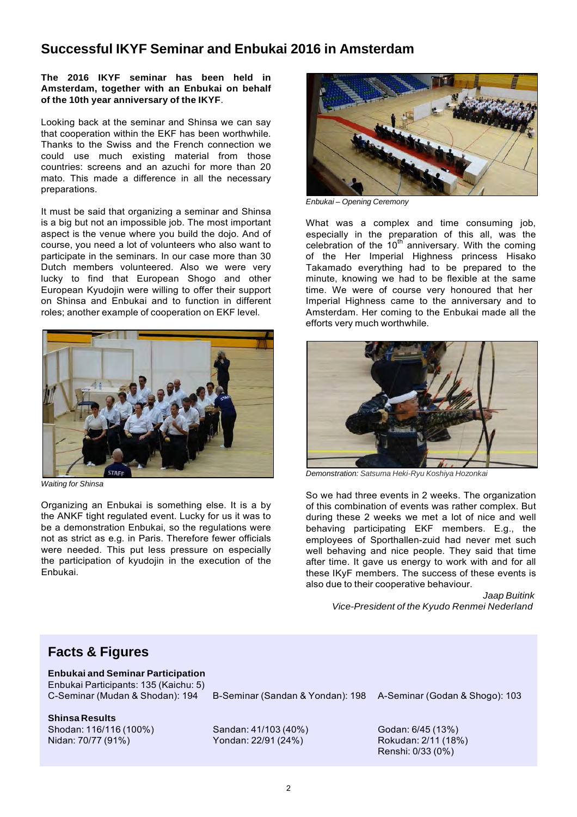## **Successful IKYF Seminar and Enbukai 2016 in Amsterdam**

#### **The 2016 IKYF seminar has been held in Amsterdam, together with an Enbukai on behalf of the 10th year anniversary of the IKYF**.

Looking back at the seminar and Shinsa we can say that cooperation within the EKF has been worthwhile. Thanks to the Swiss and the French connection we could use much existing material from those countries: screens and an azuchi for more than 20 mato. This made a difference in all the necessary preparations.

It must be said that organizing a seminar and Shinsa is a big but not an impossible job. The most important aspect is the venue where you build the dojo. And of course, you need a lot of volunteers who also want to participate in the seminars. In our case more than 30 Dutch members volunteered. Also we were very lucky to find that European Shogo and other European Kyudojin were willing to offer their support on Shinsa and Enbukai and to function in different roles; another example of cooperation on EKF level.



*Waiting for Shinsa*

Organizing an Enbukai is something else. It is a by the ANKF tight regulated event. Lucky for us it was to be a demonstration Enbukai, so the regulations were not as strict as e.g. in Paris. Therefore fewer officials were needed. This put less pressure on especially the participation of kyudojin in the execution of the Enbukai.



*Enbukai – Opening Ceremony*

What was a complex and time consuming job, especially in the preparation of this all, was the celebration of the  $10<sup>th</sup>$  anniversary. With the coming of the Her Imperial Highness princess Hisako Takamado everything had to be prepared to the minute, knowing we had to be flexible at the same time. We were of course very honoured that her Imperial Highness came to the anniversary and to Amsterdam. Her coming to the Enbukai made all the efforts very much worthwhile.



*Demonstration: Satsuma Heki-Ryu Koshiya Hozonkai*

So we had three events in 2 weeks. The organization of this combination of events was rather complex. But during these 2 weeks we met a lot of nice and well behaving participating EKF members. E.g., the employees of Sporthallen-zuid had never met such well behaving and nice people. They said that time after time. It gave us energy to work with and for all these IKyF members. The success of these events is also due to their cooperative behaviour.

> *Jaap Buitink Vice-President of the Kyudo Renmei Nederland*

## **Facts & Figures**

**Enbukai and Seminar Participation**

Enbukai Participants: 135 (Kaichu: 5)

B-Seminar (Sandan & Yondan): 198 A-Seminar (Godan & Shogo): 103

**Shinsa Results**

Shodan: 116/116 (100%) Nidan: 70/77 (91%)

Sandan: 41/103 (40%) Yondan: 22/91 (24%)

Godan: 6/45 (13%)

Rokudan: 2/11 (18%) Renshi: 0/33 (0%)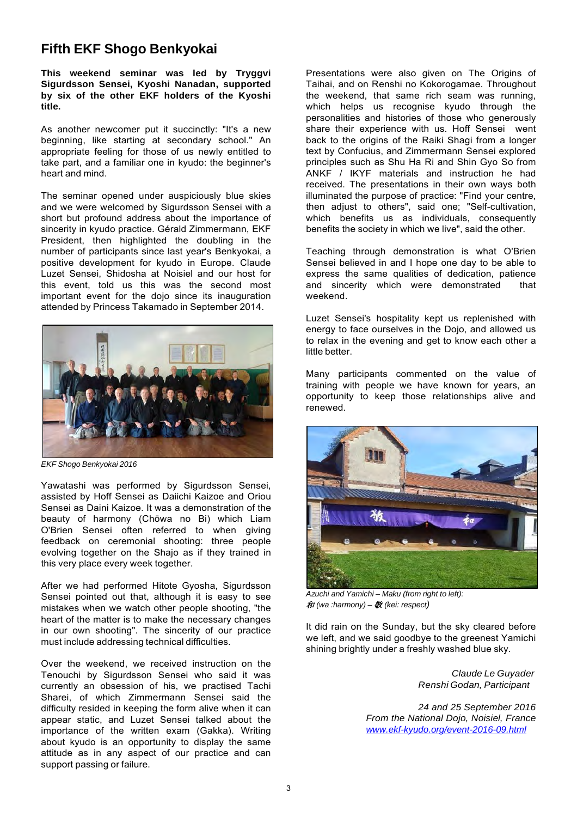## **Fifth EKF Shogo Benkyokai**

**This weekend seminar was led by Tryggvi Sigurdsson Sensei, Kyoshi Nanadan, supported by six of the other EKF holders of the Kyoshi title.**

As another newcomer put it succinctly: "It's a new beginning, like starting at secondary school." An appropriate feeling for those of us newly entitled to take part, and a familiar one in kyudo: the beginner's heart and mind.

The seminar opened under auspiciously blue skies and we were welcomed by Sigurdsson Sensei with a short but profound address about the importance of sincerity in kyudo practice. Gérald Zimmermann, EKF President, then highlighted the doubling in the number of participants since last year's Benkyokai, a positive development for kyudo in Europe. Claude Luzet Sensei, Shidosha at Noisiel and our host for this event, told us this was the second most important event for the dojo since its inauguration attended by Princess Takamado in September 2014.



*EKF Shogo Benkyokai 2016*

Yawatashi was performed by Sigurdsson Sensei, assisted by Hoff Sensei as Daiichi Kaizoe and Oriou Sensei as Daini Kaizoe. It was a demonstration of the beauty of harmony (Chōwa no Bi) which Liam O'Brien Sensei often referred to when giving feedback on ceremonial shooting: three people evolving together on the Shajo as if they trained in this very place every week together.

After we had performed Hitote Gyosha, Sigurdsson Sensei pointed out that, although it is easy to see mistakes when we watch other people shooting, "the heart of the matter is to make the necessary changes in our own shooting". The sincerity of our practice must include addressing technical difficulties.

Over the weekend, we received instruction on the Tenouchi by Sigurdsson Sensei who said it was currently an obsession of his, we practised Tachi Sharei, of which Zimmermann Sensei said the difficulty resided in keeping the form alive when it can appear static, and Luzet Sensei talked about the importance of the written exam (Gakka). Writing about kyudo is an opportunity to display the same attitude as in any aspect of our practice and can support passing or failure.

Presentations were also given on The Origins of Taihai, and on Renshi no Kokorogamae. Throughout the weekend, that same rich seam was running, which helps us recognise kyudo through the personalities and histories of those who generously share their experience with us. Hoff Sensei went back to the origins of the Raiki Shagi from a longer text by Confucius, and Zimmermann Sensei explored principles such as Shu Ha Ri and Shin Gyo So from ANKF / IKYF materials and instruction he had received. The presentations in their own ways both illuminated the purpose of practice: "Find your centre, then adjust to others", said one; "Self-cultivation, which benefits us as individuals, consequently benefits the society in which we live", said the other.

Teaching through demonstration is what O'Brien Sensei believed in and I hope one day to be able to express the same qualities of dedication, patience and sincerity which were demonstrated that weekend.

Luzet Sensei's hospitality kept us replenished with energy to face ourselves in the Dojo, and allowed us to relax in the evening and get to know each other a little better.

Many participants commented on the value of training with people we have known for years, an opportunity to keep those relationships alive and renewed.



*Azuchi and Yamichi – Maku (from right to left):* 和 *(wa :harmony) –* 敬 *(kei: respect)*

It did rain on the Sunday, but the sky cleared before we left, and we said goodbye to the greenest Yamichi shining brightly under a freshly washed blue sky.

> *Claude Le Guyader Renshi Godan, Participant*

*24 and 25 September 2016 From the National Dojo, Noisiel, France [www.ekf-kyudo.org/event-2016-09.html](http://www.ekf-kyudo.org/event-2016-09.html)*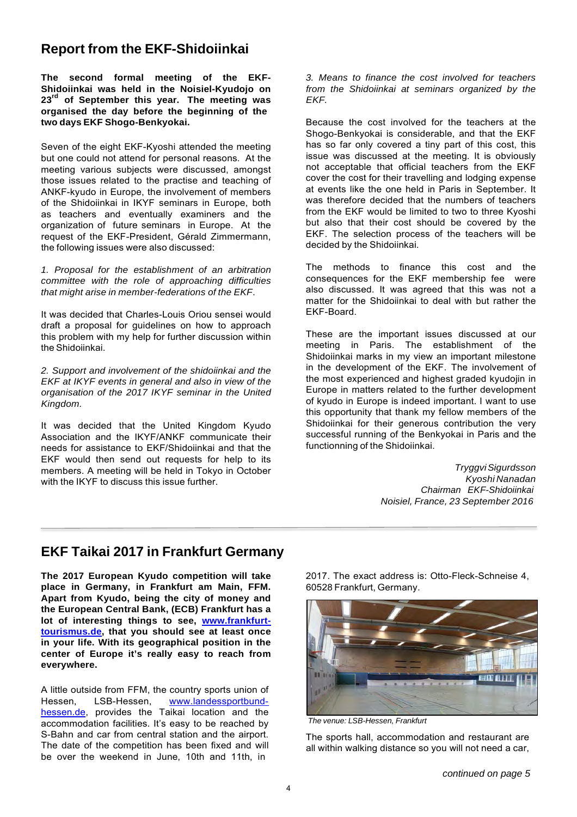## **Report from the EKF-Shidoiinkai**

**The second formal meeting of the EKF-Shidoiinkai was held in the Noisiel-Kyudojo on 23rd of September this year. The meeting was organised the day before the beginning of the two days EKF Shogo-Benkyokai.**

Seven of the eight EKF-Kyoshi attended the meeting but one could not attend for personal reasons. At the meeting various subjects were discussed, amongst those issues related to the practise and teaching of ANKF-kyudo in Europe, the involvement of members of the Shidoiinkai in IKYF seminars in Europe, both as teachers and eventually examiners and the organization of future seminars in Europe. At the request of the EKF-President, Gérald Zimmermann, the following issues were also discussed:

*1. Proposal for the establishment of an arbitration committee with the role of approaching difficulties that might arise in member-federations of the EKF*.

It was decided that Charles-Louis Oriou sensei would draft a proposal for guidelines on how to approach this problem with my help for further discussion within the Shidoiinkai.

*2. Support and involvement of the shidoiinkai and the EKF at IKYF events in general and also in view of the organisation of the 2017 IKYF seminar in the United Kingdom.*

It was decided that the United Kingdom Kyudo Association and the IKYF/ANKF communicate their needs for assistance to EKF/Shidoiinkai and that the EKF would then send out requests for help to its members. A meeting will be held in Tokyo in October with the IKYF to discuss this issue further.

*3. Means to finance the cost involved for teachers from the Shidoiinkai at seminars organized by the EKF.*

Because the cost involved for the teachers at the Shogo-Benkyokai is considerable, and that the EKF has so far only covered a tiny part of this cost, this issue was discussed at the meeting. It is obviously not acceptable that official teachers from the EKF cover the cost for their travelling and lodging expense at events like the one held in Paris in September. It was therefore decided that the numbers of teachers from the EKF would be limited to two to three Kyoshi but also that their cost should be covered by the EKF. The selection process of the teachers will be decided by the Shidoiinkai.

The methods to finance this cost and the consequences for the EKF membership fee were also discussed. It was agreed that this was not a matter for the Shidoiinkai to deal with but rather the EKF-Board.

These are the important issues discussed at our meeting in Paris. The establishment of the Shidoiinkai marks in my view an important milestone in the development of the EKF. The involvement of the most experienced and highest graded kyudojin in Europe in matters related to the further development of kyudo in Europe is indeed important. I want to use this opportunity that thank my fellow members of the Shidoiinkai for their generous contribution the very successful running of the Benkyokai in Paris and the functionning of the Shidoiinkai.

> *TryggviSigurdsson Kyoshi Nanadan Chairman EKF-Shidoiinkai Noisiel, France, 23 September 2016*

### **EKF Taikai 2017 in Frankfurt Germany**

**The 2017 European Kyudo competition will take place in Germany, in Frankfurt am Main, FFM. Apart from Kyudo, being the city of money and the European Central Bank, (ECB) Frankfurt has a lot of interesting things to see, www.frankfurttourismus.de, that you should see at least once in your life. With its geographical position in the center of Europe it's really easy to reach from everywhere.**

A little outside from FFM, the country sports union of<br>Hessen, LSB-Hessen, www.landessportbundwww.landessportbundhessen.de, provides the Taikai location and the accommodation facilities. It's easy to be reached by S-Bahn and car from central station and the airport. The date of the competition has been fixed and will be over the weekend in June, 10th and 11th, in

2017. The exact address is: Otto-Fleck-Schneise 4, 60528 Frankfurt, Germany.



*The venue: LSB-Hessen, Frankfurt*

The sports hall, accommodation and restaurant are all within walking distance so you will not need a car,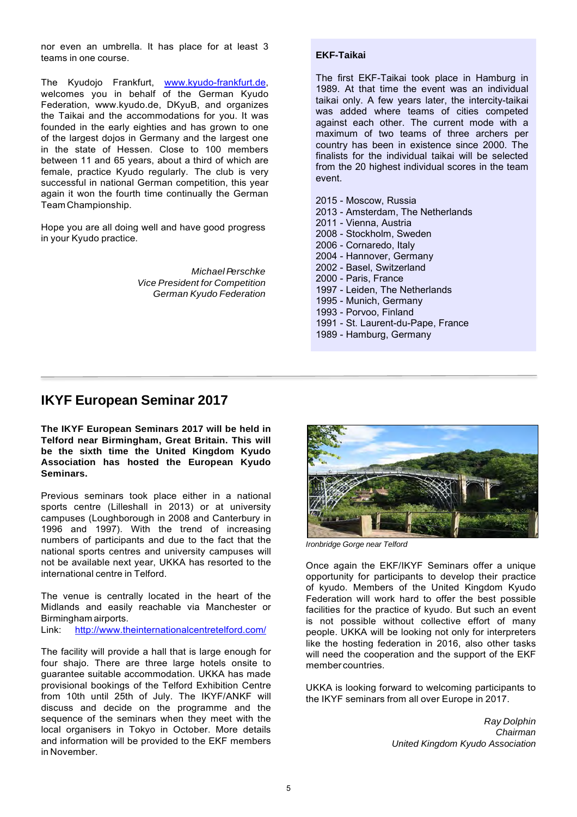nor even an umbrella. It has place for at least 3 teams in one course.

The Kyudojo Frankfurt, [www.kyudo-frankfurt.de,](http://www.kyudo-frankfurt.de/) welcomes you in behalf of the German Kyudo Federation, [www.kyudo.de,](http://www.kyudo.de/) DKyuB, and organizes the Taikai and the accommodations for you. It was founded in the early eighties and has grown to one of the largest dojos in Germany and the largest one in the state of Hessen. Close to 100 members between 11 and 65 years, about a third of which are female, practice Kyudo regularly. The club is very successful in national German competition, this year again it won the fourth time continually the German Team Championship.

Hope you are all doing well and have good progress in your Kyudo practice.

> *Michael Perschke Vice President for Competition German Kyudo Federation*

#### **EKF-Taikai**

The first EKF-Taikai took place in Hamburg in 1989. At that time the event was an individual taikai only. A few years later, the intercity-taikai was added where teams of cities competed against each other. The current mode with a maximum of two teams of three archers per country has been in existence since 2000. The finalists for the individual taikai will be selected from the 20 highest individual scores in the team event.

2015 - Moscow, Russia 2013 - Amsterdam, The Netherlands 2011 - Vienna, Austria 2008 - Stockholm, Sweden 2006 - Cornaredo, Italy 2004 - Hannover, Germany 2002 - Basel, Switzerland 2000 - Paris, France 1997 - Leiden, The Netherlands 1995 - Munich, Germany 1993 - Porvoo, Finland 1991 - St. Laurent-du-Pape, France 1989 - Hamburg, Germany

#### **IKYF European Seminar 2017**

**The IKYF European Seminars 2017 will be held in Telford near Birmingham, Great Britain. This will be the sixth time the United Kingdom Kyudo Association has hosted the European Kyudo Seminars.**

Previous seminars took place either in a national sports centre (Lilleshall in 2013) or at university campuses (Loughborough in 2008 and Canterbury in 1996 and 1997). With the trend of increasing numbers of participants and due to the fact that the national sports centres and university campuses will not be available next year, UKKA has resorted to the international centre in Telford.

The venue is centrally located in the heart of the Midlands and easily reachable via Manchester or Birmingham airports.

Link: <http://www.theinternationalcentretelford.com/>

The facility will provide a hall that is large enough for four shajo. There are three large hotels onsite to guarantee suitable accommodation. UKKA has made provisional bookings of the Telford Exhibition Centre from 10th until 25th of July. The IKYF/ANKF will discuss and decide on the programme and the sequence of the seminars when they meet with the local organisers in Tokyo in October. More details and information will be provided to the EKF members in November.



*Ironbridge Gorge near Telford*

Once again the EKF/IKYF Seminars offer a unique opportunity for participants to develop their practice of kyudo. Members of the United Kingdom Kyudo Federation will work hard to offer the best possible facilities for the practice of kyudo. But such an event is not possible without collective effort of many people. UKKA will be looking not only for interpreters like the hosting federation in 2016, also other tasks will need the cooperation and the support of the EKF member countries.

UKKA is looking forward to welcoming participants to the IKYF seminars from all over Europe in 2017.

> *Ray Dolphin Chairman United Kingdom Kyudo Association*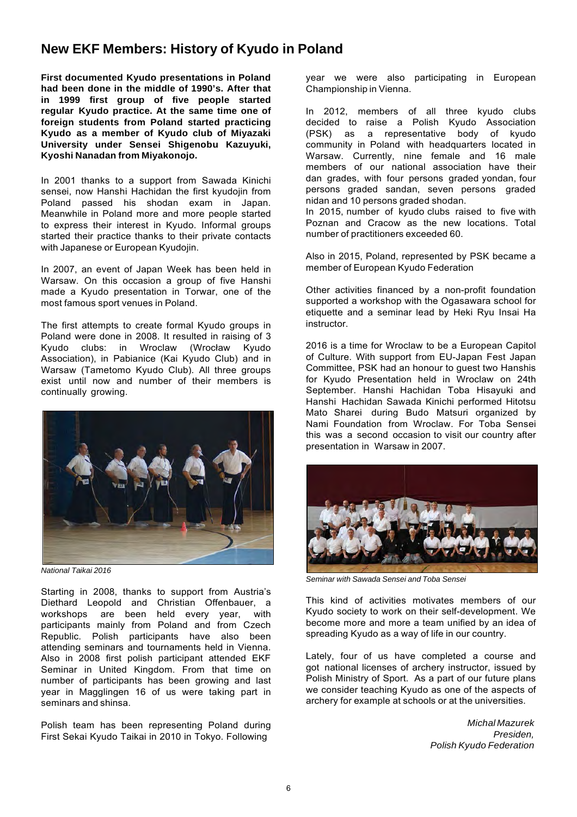### **New EKF Members: History of Kyudo in Poland**

**First documented Kyudo presentations in Poland had been done in the middle of 1990's. After that in 1999 first group of five people started regular Kyudo practice. At the same time one of foreign students from Poland started practicing Kyudo as a member of Kyudo club of Miyazaki University under Sensei Shigenobu Kazuyuki, Kyoshi Nanadan from Miyakonojo.**

In 2001 thanks to a support from Sawada Kinichi sensei, now Hanshi Hachidan the first kyudojin from Poland passed his shodan exam in Japan. Meanwhile in Poland more and more people started to express their interest in Kyudo. Informal groups started their practice thanks to their private contacts with Japanese or European Kyudojin.

In 2007, an event of Japan Week has been held in Warsaw. On this occasion a group of five Hanshi made a Kyudo presentation in Torwar, one of the most famous sport venues in Poland.

The first attempts to create formal Kyudo groups in Poland were done in 2008. It resulted in raising of 3 Kyudo clubs: in Wroclaw (Wrocław Kyudo Association), in Pabianice (Kai Kyudo Club) and in Warsaw (Tametomo Kyudo Club). All three groups exist until now and number of their members is continually growing.



*National Taikai 2016*

Starting in 2008, thanks to support from Austria's Diethard Leopold and Christian Offenbauer, a workshops are been held every year, with participants mainly from Poland and from Czech Republic. Polish participants have also been attending seminars and tournaments held in Vienna. Also in 2008 first polish participant attended EKF Seminar in United Kingdom. From that time on number of participants has been growing and last year in Magglingen 16 of us were taking part in seminars and shinsa.

Polish team has been representing Poland during First Sekai Kyudo Taikai in 2010 in Tokyo. Following

year we were also participating in European Championship in Vienna.

In 2012, members of all three kyudo clubs decided to raise a Polish Kyudo Association (PSK) as a representative body of kyudo community in Poland with headquarters located in Warsaw. Currently, nine female and 16 male members of our national association have their dan grades, with four persons graded yondan, four persons graded sandan, seven persons graded nidan and 10 persons graded shodan.

In 2015, number of kyudo clubs raised to five with Poznan and Cracow as the new locations. Total number of practitioners exceeded 60.

Also in 2015, Poland, represented by PSK became a member of European Kyudo Federation

Other activities financed by a non-profit foundation supported a workshop with the Ogasawara school for etiquette and a seminar lead by Heki Ryu Insai Ha instructor.

2016 is a time for Wroclaw to be a European Capitol of Culture. With support from EU-Japan Fest Japan Committee, PSK had an honour to guest two Hanshis for Kyudo Presentation held in Wroclaw on 24th September. Hanshi Hachidan Toba Hisayuki and Hanshi Hachidan Sawada Kinichi performed Hitotsu Mato Sharei during Budo Matsuri organized by Nami Foundation from Wroclaw. For Toba Sensei this was a second occasion to visit our country after presentation in Warsaw in 2007.



*Seminar with Sawada Sensei and Toba Sensei*

This kind of activities motivates members of our Kyudo society to work on their self-development. We become more and more a team unified by an idea of spreading Kyudo as a way of life in our country.

Lately, four of us have completed a course and got national licenses of archery instructor, issued by Polish Ministry of Sport. As a part of our future plans we consider teaching Kyudo as one of the aspects of archery for example at schools or at the universities.

> *Michal Mazurek Presiden, Polish Kyudo Federation*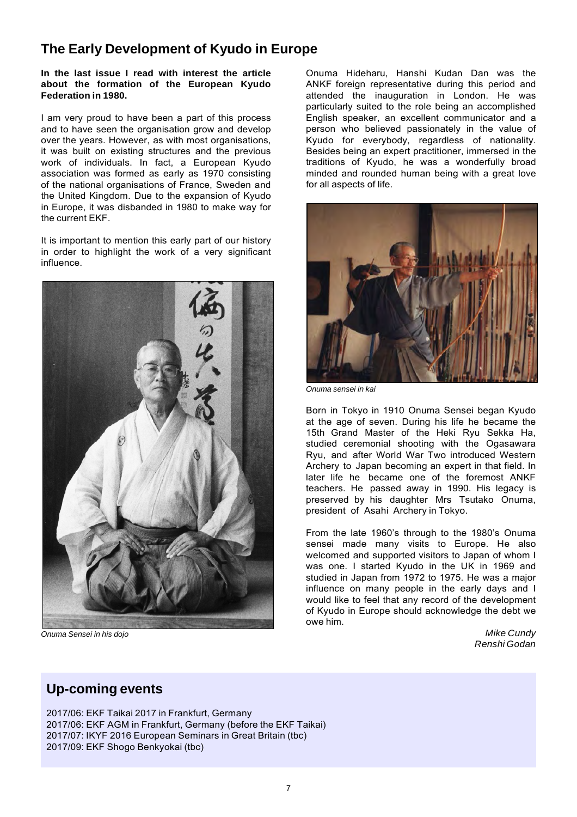# **The Early Development of Kyudo in Europe**

**In the last issue I read with interest the article about the formation of the European Kyudo Federation in 1980.**

I am very proud to have been a part of this process and to have seen the organisation grow and develop over the years. However, as with most organisations, it was built on existing structures and the previous work of individuals. In fact, a European Kyudo association was formed as early as 1970 consisting of the national organisations of France, Sweden and the United Kingdom. Due to the expansion of Kyudo in Europe, it was disbanded in 1980 to make way for the current EKF.

It is important to mention this early part of our history in order to highlight the work of a very significant influence.



*Onuma Sensei in his dojo*

Onuma Hideharu, Hanshi Kudan Dan was the ANKF foreign representative during this period and attended the inauguration in London. He was particularly suited to the role being an accomplished English speaker, an excellent communicator and a person who believed passionately in the value of Kyudo for everybody, regardless of nationality. Besides being an expert practitioner, immersed in the traditions of Kyudo, he was a wonderfully broad minded and rounded human being with a great love for all aspects of life.



*Onuma sensei in kai*

Born in Tokyo in 1910 Onuma Sensei began Kyudo at the age of seven. During his life he became the 15th Grand Master of the Heki Ryu Sekka Ha, studied ceremonial shooting with the Ogasawara Ryu, and after World War Two introduced Western Archery to Japan becoming an expert in that field. In later life he became one of the foremost ANKF teachers. He passed away in 1990. His legacy is preserved by his daughter Mrs Tsutako Onuma, president of Asahi Archery in Tokyo.

From the late 1960's through to the 1980's Onuma sensei made many visits to Europe. He also welcomed and supported visitors to Japan of whom I was one. I started Kyudo in the UK in 1969 and studied in Japan from 1972 to 1975. He was a major influence on many people in the early days and I would like to feel that any record of the development of Kyudo in Europe should acknowledge the debt we owe him.

> *Mike Cundy Renshi Godan*

### **Up-coming events**

2017/06: EKF Taikai 2017 in Frankfurt, Germany 2017/06: EKF AGM in Frankfurt, Germany (before the EKF Taikai) 2017/07: IKYF 2016 European Seminars in Great Britain (tbc) 2017/09: EKF Shogo Benkyokai (tbc)